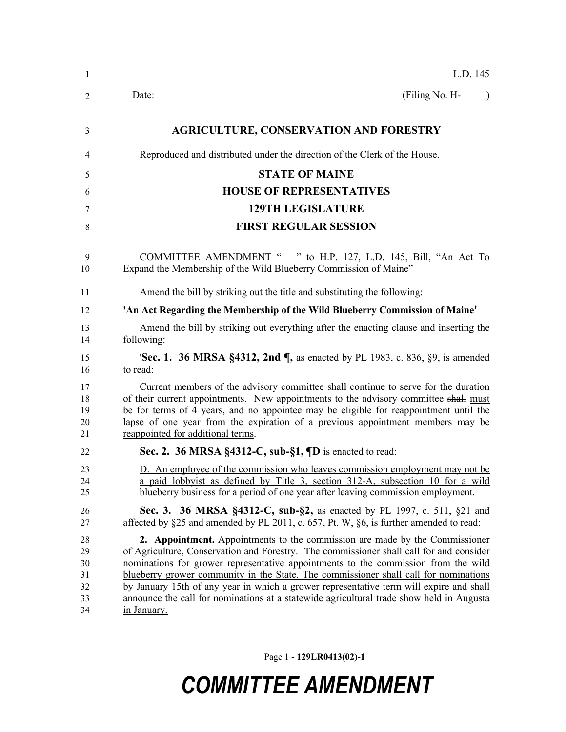| 1                                      | L.D. 145                                                                                                                                                                                                                                                                                                                                                                                                                                                                                                                                                   |
|----------------------------------------|------------------------------------------------------------------------------------------------------------------------------------------------------------------------------------------------------------------------------------------------------------------------------------------------------------------------------------------------------------------------------------------------------------------------------------------------------------------------------------------------------------------------------------------------------------|
| 2                                      | (Filing No. H-<br>Date:<br>$\lambda$                                                                                                                                                                                                                                                                                                                                                                                                                                                                                                                       |
| 3                                      | <b>AGRICULTURE, CONSERVATION AND FORESTRY</b>                                                                                                                                                                                                                                                                                                                                                                                                                                                                                                              |
| 4                                      | Reproduced and distributed under the direction of the Clerk of the House.                                                                                                                                                                                                                                                                                                                                                                                                                                                                                  |
| 5                                      | <b>STATE OF MAINE</b>                                                                                                                                                                                                                                                                                                                                                                                                                                                                                                                                      |
| 6                                      | <b>HOUSE OF REPRESENTATIVES</b>                                                                                                                                                                                                                                                                                                                                                                                                                                                                                                                            |
| 7                                      | <b>129TH LEGISLATURE</b>                                                                                                                                                                                                                                                                                                                                                                                                                                                                                                                                   |
| 8                                      | <b>FIRST REGULAR SESSION</b>                                                                                                                                                                                                                                                                                                                                                                                                                                                                                                                               |
| 9<br>10                                | <b>COMMITTEE AMENDMENT "</b><br>" to H.P. 127, L.D. 145, Bill, "An Act To<br>Expand the Membership of the Wild Blueberry Commission of Maine"                                                                                                                                                                                                                                                                                                                                                                                                              |
| 11                                     | Amend the bill by striking out the title and substituting the following:                                                                                                                                                                                                                                                                                                                                                                                                                                                                                   |
| 12                                     | 'An Act Regarding the Membership of the Wild Blueberry Commission of Maine'                                                                                                                                                                                                                                                                                                                                                                                                                                                                                |
| 13<br>14                               | Amend the bill by striking out everything after the enacting clause and inserting the<br>following:                                                                                                                                                                                                                                                                                                                                                                                                                                                        |
| 15<br>16                               | <b>'Sec. 1. 36 MRSA §4312, 2nd ¶, as enacted by PL 1983, c. 836, §9, is amended</b><br>to read:                                                                                                                                                                                                                                                                                                                                                                                                                                                            |
| 17<br>18<br>19<br>20<br>21             | Current members of the advisory committee shall continue to serve for the duration<br>of their current appointments. New appointments to the advisory committee shall must<br>be for terms of 4 years, and no appointee may be eligible for reappointment until the<br>lapse of one year from the expiration of a previous appointment members may be<br>reappointed for additional terms.                                                                                                                                                                 |
| 22                                     | Sec. 2. 36 MRSA §4312-C, sub-§1, ¶D is enacted to read:                                                                                                                                                                                                                                                                                                                                                                                                                                                                                                    |
| 23<br>24<br>25                         | D. An employee of the commission who leaves commission employment may not be<br>a paid lobbyist as defined by Title 3, section 312-A, subsection 10 for a wild<br>blueberry business for a period of one year after leaving commission employment.                                                                                                                                                                                                                                                                                                         |
| 26<br>27                               | Sec. 3. 36 MRSA §4312-C, sub-§2, as enacted by PL 1997, c. 511, §21 and<br>affected by §25 and amended by PL 2011, c. 657, Pt. W, §6, is further amended to read:                                                                                                                                                                                                                                                                                                                                                                                          |
| 28<br>29<br>30<br>31<br>32<br>33<br>34 | 2. Appointment. Appointments to the commission are made by the Commissioner<br>of Agriculture, Conservation and Forestry. The commissioner shall call for and consider<br>nominations for grower representative appointments to the commission from the wild<br>blueberry grower community in the State. The commissioner shall call for nominations<br>by January 15th of any year in which a grower representative term will expire and shall<br>announce the call for nominations at a statewide agricultural trade show held in Augusta<br>in January. |

Page 1 **- 129LR0413(02)-1**

# *COMMITTEE AMENDMENT*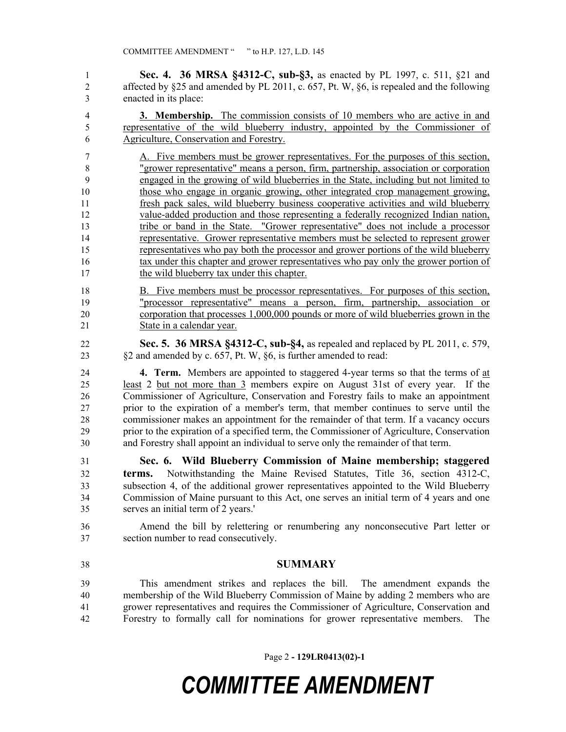**Sec. 4. 36 MRSA §4312-C, sub-§3,** as enacted by PL 1997, c. 511, §21 and affected by §25 and amended by PL 2011, c. 657, Pt. W, §6, is repealed and the following enacted in its place:

 **3. Membership.** The commission consists of 10 members who are active in and representative of the wild blueberry industry, appointed by the Commissioner of Agriculture, Conservation and Forestry.

 A. Five members must be grower representatives. For the purposes of this section, "grower representative" means a person, firm, partnership, association or corporation engaged in the growing of wild blueberries in the State, including but not limited to those who engage in organic growing, other integrated crop management growing, fresh pack sales, wild blueberry business cooperative activities and wild blueberry value-added production and those representing a federally recognized Indian nation, tribe or band in the State. "Grower representative" does not include a processor representative. Grower representative members must be selected to represent grower representatives who pay both the processor and grower portions of the wild blueberry 16 tax under this chapter and grower representatives who pay only the grower portion of 17 the wild blueberry tax under this chapter.

- B. Five members must be processor representatives. For purposes of this section, "processor representative" means a person, firm, partnership, association or corporation that processes 1,000,000 pounds or more of wild blueberries grown in the State in a calendar year.
- **Sec. 5. 36 MRSA §4312-C, sub-§4,** as repealed and replaced by PL 2011, c. 579, §2 and amended by c. 657, Pt. W, §6, is further amended to read:

 **4. Term.** Members are appointed to staggered 4-year terms so that the terms of at least 2 but not more than 3 members expire on August 31st of every year. If the Commissioner of Agriculture, Conservation and Forestry fails to make an appointment prior to the expiration of a member's term, that member continues to serve until the commissioner makes an appointment for the remainder of that term. If a vacancy occurs prior to the expiration of a specified term, the Commissioner of Agriculture, Conservation and Forestry shall appoint an individual to serve only the remainder of that term.

 **Sec. 6. Wild Blueberry Commission of Maine membership; staggered terms.** Notwithstanding the Maine Revised Statutes, Title 36, section 4312-C, subsection 4, of the additional grower representatives appointed to the Wild Blueberry Commission of Maine pursuant to this Act, one serves an initial term of 4 years and one serves an initial term of 2 years.'

 Amend the bill by relettering or renumbering any nonconsecutive Part letter or section number to read consecutively.

#### **SUMMARY**

 This amendment strikes and replaces the bill. The amendment expands the membership of the Wild Blueberry Commission of Maine by adding 2 members who are grower representatives and requires the Commissioner of Agriculture, Conservation and Forestry to formally call for nominations for grower representative members. The

Page 2 **- 129LR0413(02)-1**

## *COMMITTEE AMENDMENT*